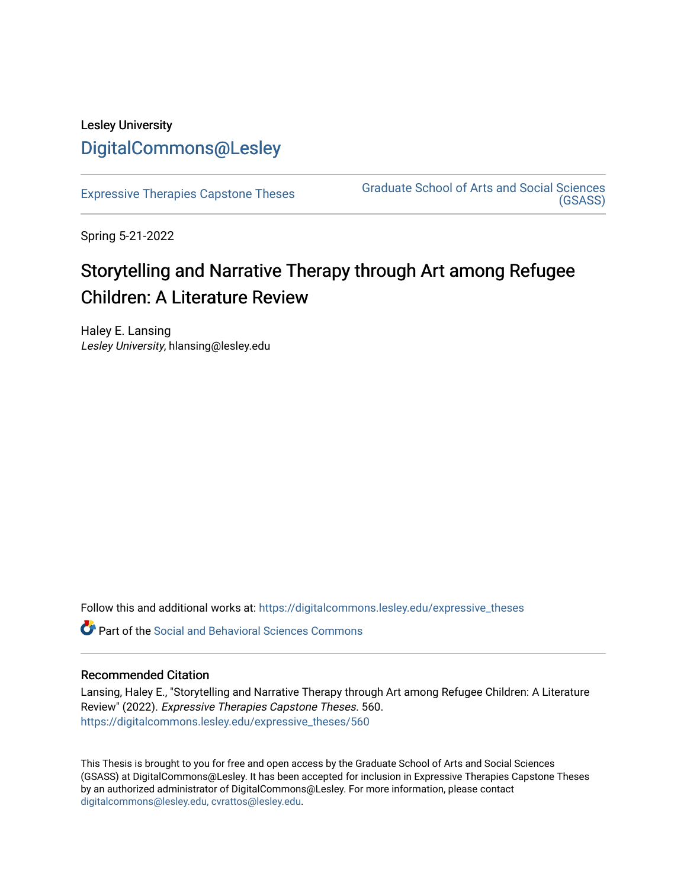# Lesley University [DigitalCommons@Lesley](https://digitalcommons.lesley.edu/)

[Expressive Therapies Capstone Theses](https://digitalcommons.lesley.edu/expressive_theses) Graduate School of Arts and Social Sciences [\(GSASS\)](https://digitalcommons.lesley.edu/gsass) 

Spring 5-21-2022

# Storytelling and Narrative Therapy through Art among Refugee Children: A Literature Review

Haley E. Lansing Lesley University, hlansing@lesley.edu

Follow this and additional works at: [https://digitalcommons.lesley.edu/expressive\\_theses](https://digitalcommons.lesley.edu/expressive_theses?utm_source=digitalcommons.lesley.edu%2Fexpressive_theses%2F560&utm_medium=PDF&utm_campaign=PDFCoverPages)

Part of the [Social and Behavioral Sciences Commons](http://network.bepress.com/hgg/discipline/316?utm_source=digitalcommons.lesley.edu%2Fexpressive_theses%2F560&utm_medium=PDF&utm_campaign=PDFCoverPages) 

# Recommended Citation

Lansing, Haley E., "Storytelling and Narrative Therapy through Art among Refugee Children: A Literature Review" (2022). Expressive Therapies Capstone Theses. 560. [https://digitalcommons.lesley.edu/expressive\\_theses/560](https://digitalcommons.lesley.edu/expressive_theses/560?utm_source=digitalcommons.lesley.edu%2Fexpressive_theses%2F560&utm_medium=PDF&utm_campaign=PDFCoverPages)

This Thesis is brought to you for free and open access by the Graduate School of Arts and Social Sciences (GSASS) at DigitalCommons@Lesley. It has been accepted for inclusion in Expressive Therapies Capstone Theses by an authorized administrator of DigitalCommons@Lesley. For more information, please contact [digitalcommons@lesley.edu, cvrattos@lesley.edu](mailto:digitalcommons@lesley.edu,%20cvrattos@lesley.edu).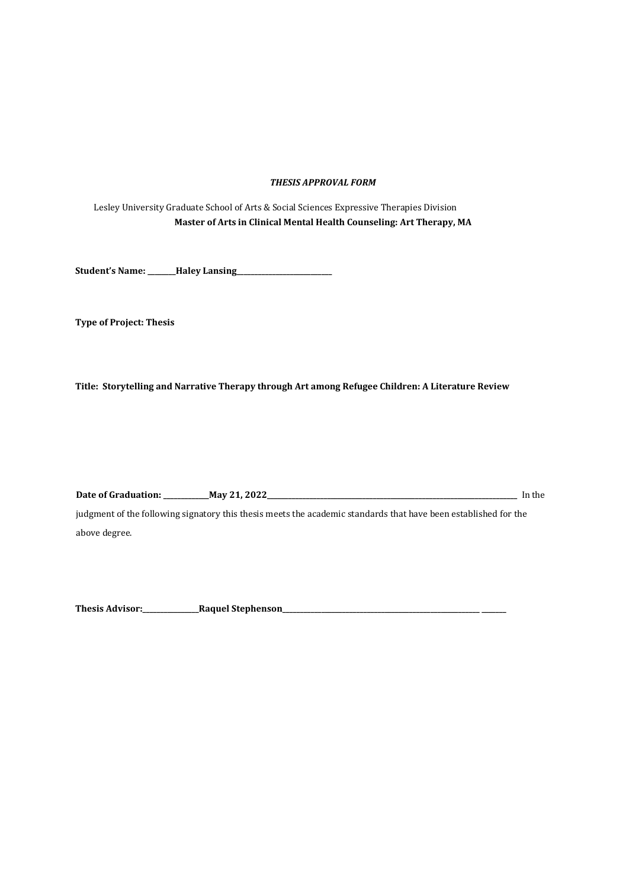#### *THESIS APPROVAL FORM*

Lesley University Graduate School of Arts & Social Sciences Expressive Therapies Division **Master of Arts in Clinical Mental Health Counseling: Art Therapy, MA**

**Student's Name: \_\_\_\_\_\_\_\_Haley Lansing\_\_\_\_\_\_\_\_\_\_\_\_\_\_\_\_\_\_\_\_\_\_\_\_\_\_\_** 

**Type of Project: Thesis** 

**Title: Storytelling and Narrative Therapy through Art among Refugee Children: A Literature Review** 

**Date of Graduation: \_\_\_\_\_\_\_\_\_\_\_\_\_May 21, 2022\_\_\_\_\_\_\_\_\_\_\_\_\_\_\_\_\_\_\_\_\_\_\_\_\_\_\_\_\_\_\_\_\_\_\_\_\_\_\_\_\_\_\_\_\_\_\_\_\_\_\_\_\_\_\_\_\_\_\_\_\_\_\_\_\_\_\_\_\_\_\_** In the judgment of the following signatory this thesis meets the academic standards that have been established for the above degree.

**Thesis Advisor:\_\_\_\_\_\_\_\_\_\_\_\_\_\_\_\_Raquel Stephenson\_\_\_\_\_\_\_\_\_\_\_\_\_\_\_\_\_\_\_\_\_\_\_\_\_\_\_\_\_\_\_\_\_\_\_\_\_\_\_\_\_\_\_\_\_\_\_\_\_\_\_\_\_\_\_\_ \_\_\_\_\_\_\_**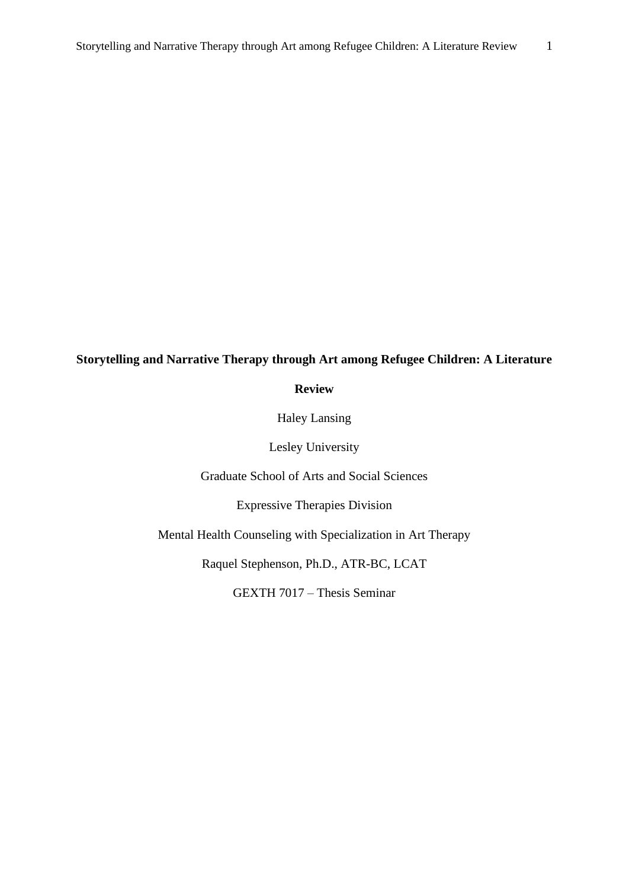# **Storytelling and Narrative Therapy through Art among Refugee Children: A Literature**

**Review**

Haley Lansing

Lesley University

Graduate School of Arts and Social Sciences

Expressive Therapies Division

Mental Health Counseling with Specialization in Art Therapy

Raquel Stephenson, Ph.D., ATR-BC, LCAT

GEXTH 7017 – Thesis Seminar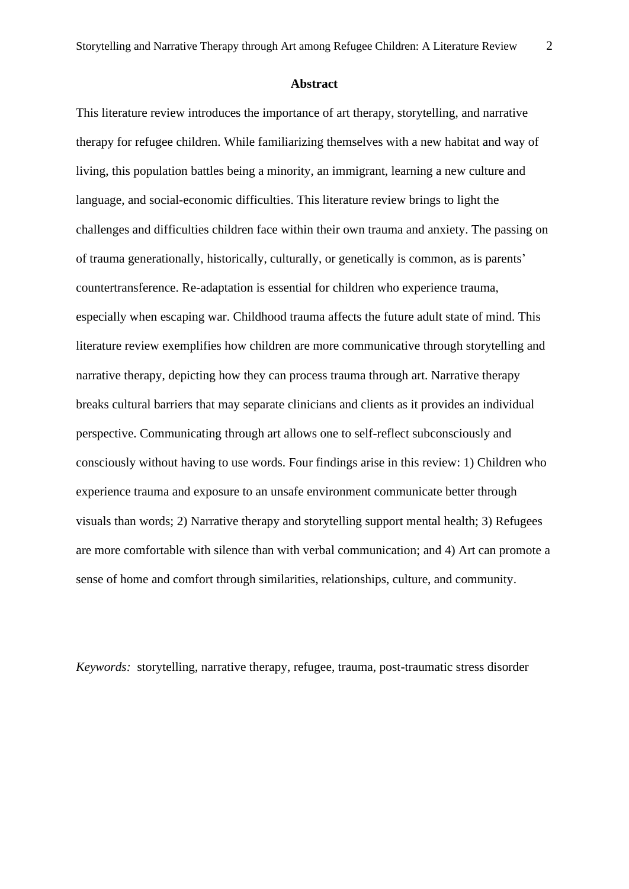#### **Abstract**

This literature review introduces the importance of art therapy, storytelling, and narrative therapy for refugee children. While familiarizing themselves with a new habitat and way of living, this population battles being a minority, an immigrant, learning a new culture and language, and social-economic difficulties. This literature review brings to light the challenges and difficulties children face within their own trauma and anxiety. The passing on of trauma generationally, historically, culturally, or genetically is common, as is parents' countertransference. Re-adaptation is essential for children who experience trauma, especially when escaping war. Childhood trauma affects the future adult state of mind. This literature review exemplifies how children are more communicative through storytelling and narrative therapy, depicting how they can process trauma through art. Narrative therapy breaks cultural barriers that may separate clinicians and clients as it provides an individual perspective. Communicating through art allows one to self-reflect subconsciously and consciously without having to use words. Four findings arise in this review: 1) Children who experience trauma and exposure to an unsafe environment communicate better through visuals than words; 2) Narrative therapy and storytelling support mental health; 3) Refugees are more comfortable with silence than with verbal communication; and 4) Art can promote a sense of home and comfort through similarities, relationships, culture, and community.

*Keywords:* storytelling, narrative therapy, refugee, trauma, post-traumatic stress disorder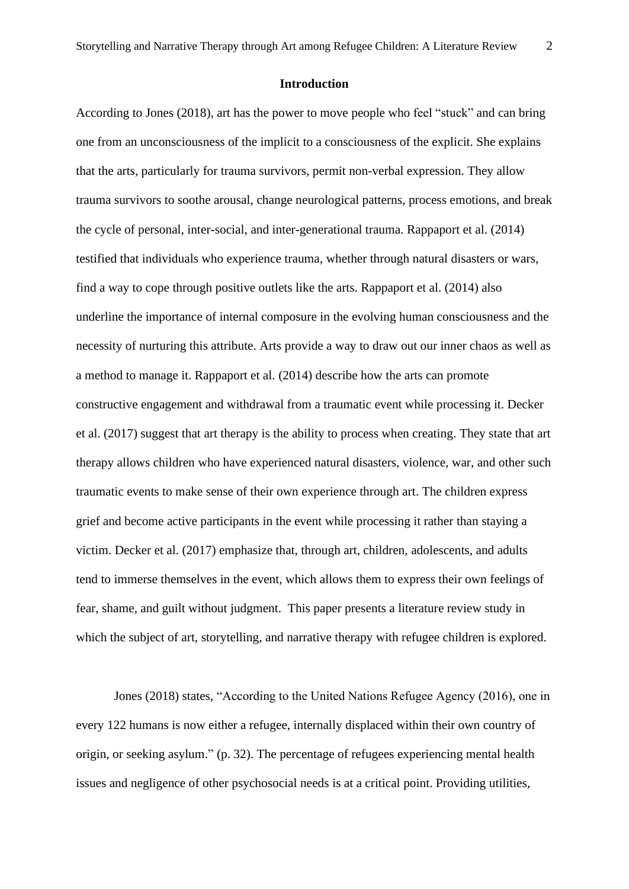# **Introduction**

According to Jones (2018), art has the power to move people who feel "stuck" and can bring one from an unconsciousness of the implicit to a consciousness of the explicit. She explains that the arts, particularly for trauma survivors, permit non-verbal expression. They allow trauma survivors to soothe arousal, change neurological patterns, process emotions, and break the cycle of personal, inter-social, and inter-generational trauma. Rappaport et al. (2014) testified that individuals who experience trauma, whether through natural disasters or wars, find a way to cope through positive outlets like the arts. Rappaport et al. (2014) also underline the importance of internal composure in the evolving human consciousness and the necessity of nurturing this attribute. Arts provide a way to draw out our inner chaos as well as a method to manage it. Rappaport et al. (2014) describe how the arts can promote constructive engagement and withdrawal from a traumatic event while processing it. Decker et al. (2017) suggest that art therapy is the ability to process when creating. They state that art therapy allows children who have experienced natural disasters, violence, war, and other such traumatic events to make sense of their own experience through art. The children express grief and become active participants in the event while processing it rather than staying a victim. Decker et al. (2017) emphasize that, through art, children, adolescents, and adults tend to immerse themselves in the event, which allows them to express their own feelings of fear, shame, and guilt without judgment. This paper presents a literature review study in which the subject of art, storytelling, and narrative therapy with refugee children is explored.

Jones (2018) states, "According to the United Nations Refugee Agency (2016), one in every 122 humans is now either a refugee, internally displaced within their own country of origin, or seeking asylum." (p. 32). The percentage of refugees experiencing mental health issues and negligence of other psychosocial needs is at a critical point. Providing utilities,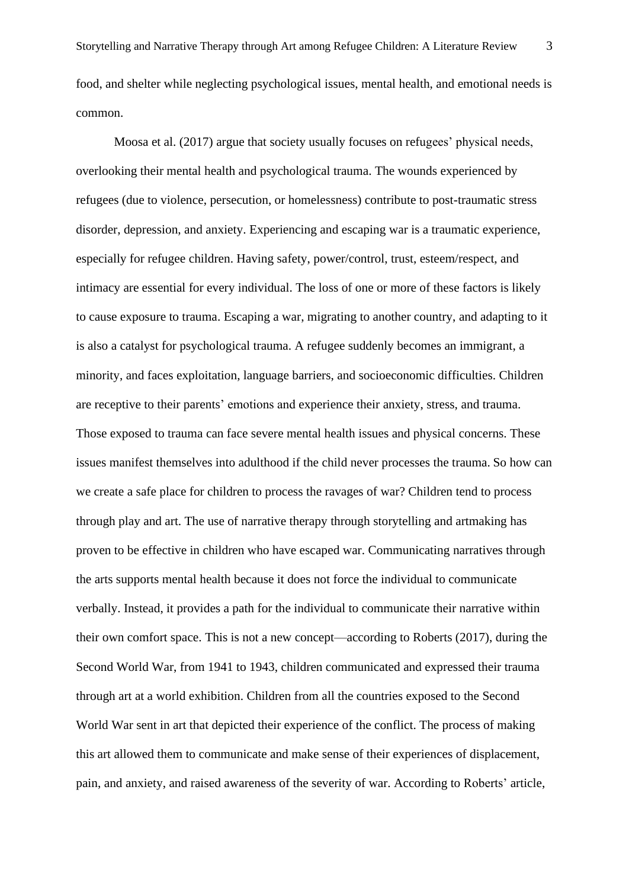food, and shelter while neglecting psychological issues, mental health, and emotional needs is common.

Moosa et al. (2017) argue that society usually focuses on refugees' physical needs, overlooking their mental health and psychological trauma. The wounds experienced by refugees (due to violence, persecution, or homelessness) contribute to post-traumatic stress disorder, depression, and anxiety. Experiencing and escaping war is a traumatic experience, especially for refugee children. Having safety, power/control, trust, esteem/respect, and intimacy are essential for every individual. The loss of one or more of these factors is likely to cause exposure to trauma. Escaping a war, migrating to another country, and adapting to it is also a catalyst for psychological trauma. A refugee suddenly becomes an immigrant, a minority, and faces exploitation, language barriers, and socioeconomic difficulties. Children are receptive to their parents' emotions and experience their anxiety, stress, and trauma. Those exposed to trauma can face severe mental health issues and physical concerns. These issues manifest themselves into adulthood if the child never processes the trauma. So how can we create a safe place for children to process the ravages of war? Children tend to process through play and art. The use of narrative therapy through storytelling and artmaking has proven to be effective in children who have escaped war. Communicating narratives through the arts supports mental health because it does not force the individual to communicate verbally. Instead, it provides a path for the individual to communicate their narrative within their own comfort space. This is not a new concept—according to Roberts (2017), during the Second World War, from 1941 to 1943, children communicated and expressed their trauma through art at a world exhibition. Children from all the countries exposed to the Second World War sent in art that depicted their experience of the conflict. The process of making this art allowed them to communicate and make sense of their experiences of displacement, pain, and anxiety, and raised awareness of the severity of war. According to Roberts' article,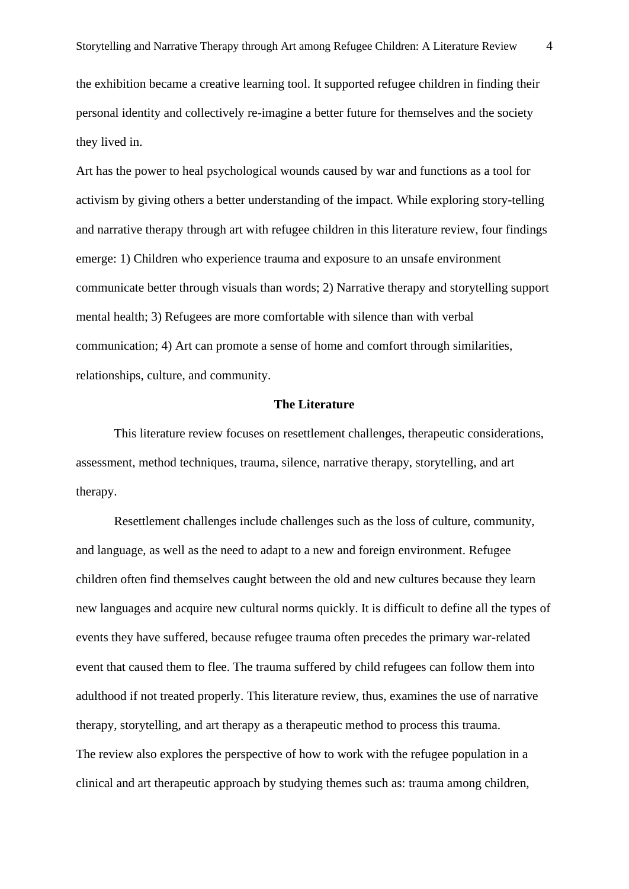the exhibition became a creative learning tool. It supported refugee children in finding their personal identity and collectively re-imagine a better future for themselves and the society they lived in.

Art has the power to heal psychological wounds caused by war and functions as a tool for activism by giving others a better understanding of the impact. While exploring story-telling and narrative therapy through art with refugee children in this literature review, four findings emerge: 1) Children who experience trauma and exposure to an unsafe environment communicate better through visuals than words; 2) Narrative therapy and storytelling support mental health; 3) Refugees are more comfortable with silence than with verbal communication; 4) Art can promote a sense of home and comfort through similarities, relationships, culture, and community.

#### **The Literature**

This literature review focuses on resettlement challenges, therapeutic considerations, assessment, method techniques, trauma, silence, narrative therapy, storytelling, and art therapy.

Resettlement challenges include challenges such as the loss of culture, community, and language, as well as the need to adapt to a new and foreign environment. Refugee children often find themselves caught between the old and new cultures because they learn new languages and acquire new cultural norms quickly. It is difficult to define all the types of events they have suffered, because refugee trauma often precedes the primary war-related event that caused them to flee. The trauma suffered by child refugees can follow them into adulthood if not treated properly. This literature review, thus, examines the use of narrative therapy, storytelling, and art therapy as a therapeutic method to process this trauma. The review also explores the perspective of how to work with the refugee population in a clinical and art therapeutic approach by studying themes such as: trauma among children,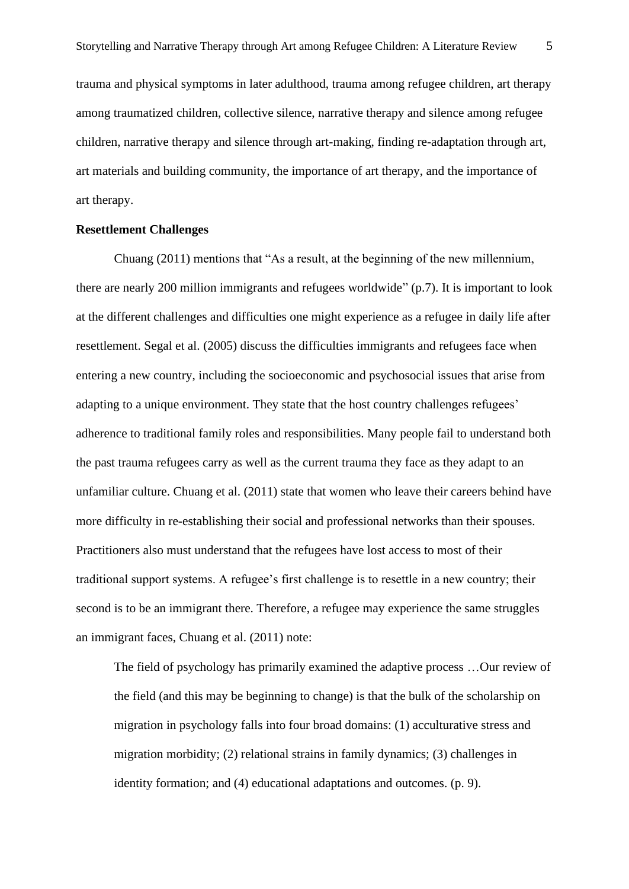trauma and physical symptoms in later adulthood, trauma among refugee children, art therapy among traumatized children, collective silence, narrative therapy and silence among refugee children, narrative therapy and silence through art-making, finding re-adaptation through art, art materials and building community, the importance of art therapy, and the importance of art therapy.

# **Resettlement Challenges**

Chuang (2011) mentions that "As a result, at the beginning of the new millennium, there are nearly 200 million immigrants and refugees worldwide" (p.7). It is important to look at the different challenges and difficulties one might experience as a refugee in daily life after resettlement. Segal et al. (2005) discuss the difficulties immigrants and refugees face when entering a new country, including the socioeconomic and psychosocial issues that arise from adapting to a unique environment. They state that the host country challenges refugees' adherence to traditional family roles and responsibilities. Many people fail to understand both the past trauma refugees carry as well as the current trauma they face as they adapt to an unfamiliar culture. Chuang et al. (2011) state that women who leave their careers behind have more difficulty in re-establishing their social and professional networks than their spouses. Practitioners also must understand that the refugees have lost access to most of their traditional support systems. A refugee's first challenge is to resettle in a new country; their second is to be an immigrant there. Therefore, a refugee may experience the same struggles an immigrant faces, Chuang et al. (2011) note:

The field of psychology has primarily examined the adaptive process …Our review of the field (and this may be beginning to change) is that the bulk of the scholarship on migration in psychology falls into four broad domains: (1) acculturative stress and migration morbidity; (2) relational strains in family dynamics; (3) challenges in identity formation; and (4) educational adaptations and outcomes. (p. 9).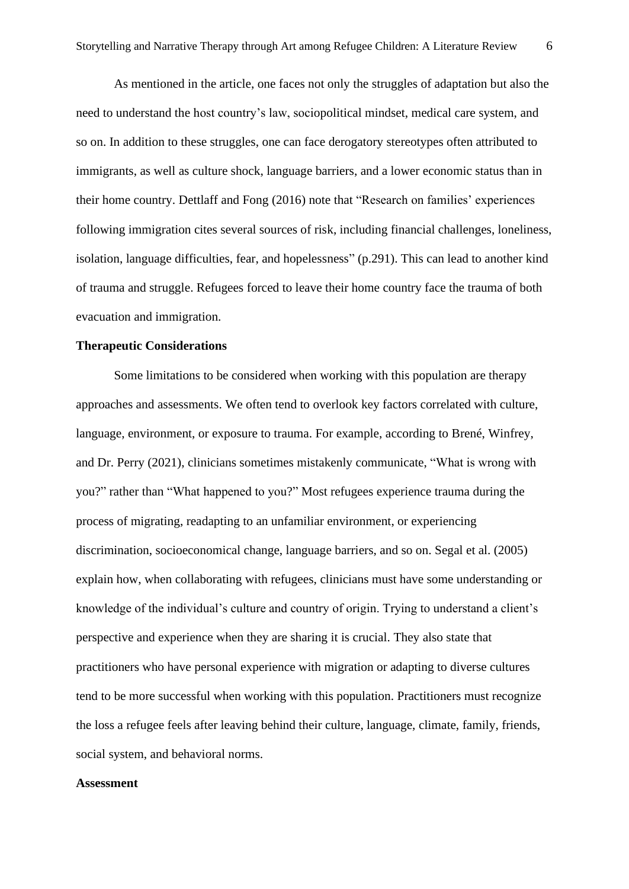As mentioned in the article, one faces not only the struggles of adaptation but also the need to understand the host country's law, sociopolitical mindset, medical care system, and so on. In addition to these struggles, one can face derogatory stereotypes often attributed to immigrants, as well as culture shock, language barriers, and a lower economic status than in their home country. Dettlaff and Fong (2016) note that "Research on families' experiences following immigration cites several sources of risk, including financial challenges, loneliness, isolation, language difficulties, fear, and hopelessness" (p.291). This can lead to another kind of trauma and struggle. Refugees forced to leave their home country face the trauma of both evacuation and immigration.

#### **Therapeutic Considerations**

Some limitations to be considered when working with this population are therapy approaches and assessments. We often tend to overlook key factors correlated with culture, language, environment, or exposure to trauma. For example, according to Brené, Winfrey, and Dr. Perry (2021), clinicians sometimes mistakenly communicate, "What is wrong with you?" rather than "What happened to you?" Most refugees experience trauma during the process of migrating, readapting to an unfamiliar environment, or experiencing discrimination, socioeconomical change, language barriers, and so on. Segal et al. (2005) explain how, when collaborating with refugees, clinicians must have some understanding or knowledge of the individual's culture and country of origin. Trying to understand a client's perspective and experience when they are sharing it is crucial. They also state that practitioners who have personal experience with migration or adapting to diverse cultures tend to be more successful when working with this population. Practitioners must recognize the loss a refugee feels after leaving behind their culture, language, climate, family, friends, social system, and behavioral norms.

## **Assessment**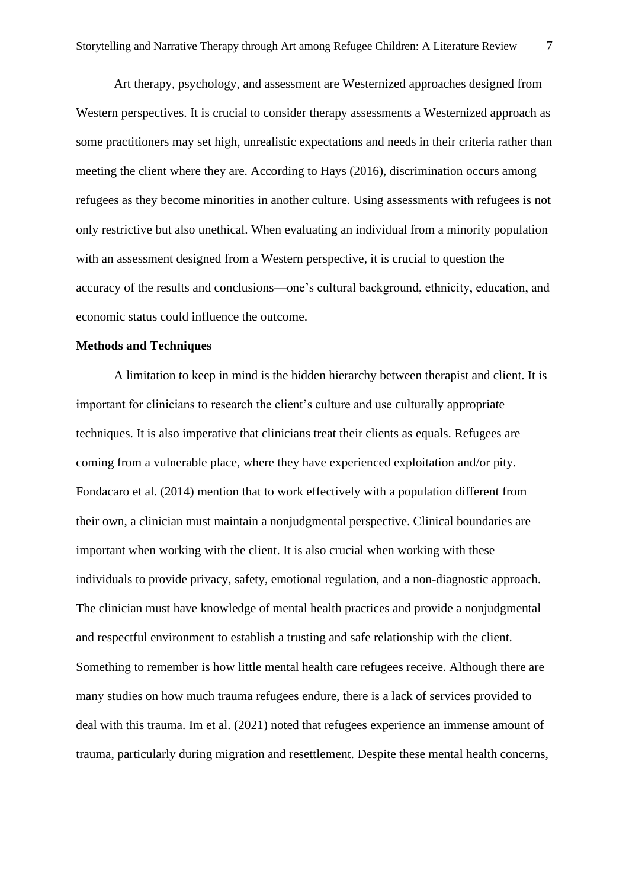Art therapy, psychology, and assessment are Westernized approaches designed from Western perspectives. It is crucial to consider therapy assessments a Westernized approach as some practitioners may set high, unrealistic expectations and needs in their criteria rather than meeting the client where they are. According to Hays (2016), discrimination occurs among refugees as they become minorities in another culture. Using assessments with refugees is not only restrictive but also unethical. When evaluating an individual from a minority population with an assessment designed from a Western perspective, it is crucial to question the accuracy of the results and conclusions—one's cultural background, ethnicity, education, and economic status could influence the outcome.

## **Methods and Techniques**

A limitation to keep in mind is the hidden hierarchy between therapist and client. It is important for clinicians to research the client's culture and use culturally appropriate techniques. It is also imperative that clinicians treat their clients as equals. Refugees are coming from a vulnerable place, where they have experienced exploitation and/or pity. Fondacaro et al. (2014) mention that to work effectively with a population different from their own, a clinician must maintain a nonjudgmental perspective. Clinical boundaries are important when working with the client. It is also crucial when working with these individuals to provide privacy, safety, emotional regulation, and a non-diagnostic approach. The clinician must have knowledge of mental health practices and provide a nonjudgmental and respectful environment to establish a trusting and safe relationship with the client. Something to remember is how little mental health care refugees receive. Although there are many studies on how much trauma refugees endure, there is a lack of services provided to deal with this trauma. Im et al. (2021) noted that refugees experience an immense amount of trauma, particularly during migration and resettlement. Despite these mental health concerns,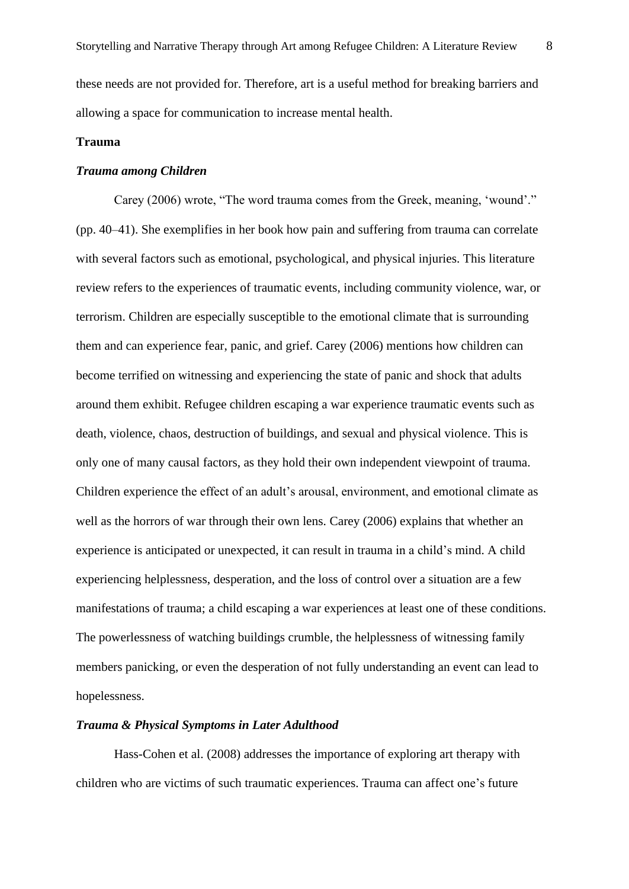these needs are not provided for. Therefore, art is a useful method for breaking barriers and allowing a space for communication to increase mental health.

## **Trauma**

# *Trauma among Children*

Carey (2006) wrote, "The word trauma comes from the Greek, meaning, 'wound'." (pp. 40–41). She exemplifies in her book how pain and suffering from trauma can correlate with several factors such as emotional, psychological, and physical injuries. This literature review refers to the experiences of traumatic events, including community violence, war, or terrorism. Children are especially susceptible to the emotional climate that is surrounding them and can experience fear, panic, and grief. Carey (2006) mentions how children can become terrified on witnessing and experiencing the state of panic and shock that adults around them exhibit. Refugee children escaping a war experience traumatic events such as death, violence, chaos, destruction of buildings, and sexual and physical violence. This is only one of many causal factors, as they hold their own independent viewpoint of trauma. Children experience the effect of an adult's arousal, environment, and emotional climate as well as the horrors of war through their own lens. Carey (2006) explains that whether an experience is anticipated or unexpected, it can result in trauma in a child's mind. A child experiencing helplessness, desperation, and the loss of control over a situation are a few manifestations of trauma; a child escaping a war experiences at least one of these conditions. The powerlessness of watching buildings crumble, the helplessness of witnessing family members panicking, or even the desperation of not fully understanding an event can lead to hopelessness.

# *Trauma & Physical Symptoms in Later Adulthood*

Hass-Cohen et al. (2008) addresses the importance of exploring art therapy with children who are victims of such traumatic experiences. Trauma can affect one's future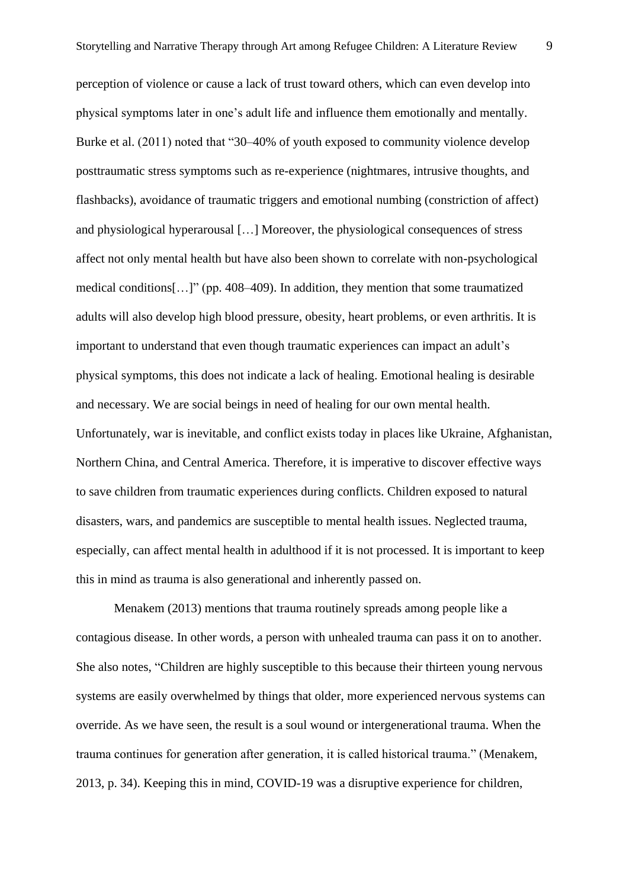perception of violence or cause a lack of trust toward others, which can even develop into physical symptoms later in one's adult life and influence them emotionally and mentally. Burke et al. (2011) noted that "30–40% of youth exposed to community violence develop posttraumatic stress symptoms such as re-experience (nightmares, intrusive thoughts, and flashbacks), avoidance of traumatic triggers and emotional numbing (constriction of affect) and physiological hyperarousal […] Moreover, the physiological consequences of stress affect not only mental health but have also been shown to correlate with non-psychological medical conditions[…]" (pp. 408–409). In addition, they mention that some traumatized adults will also develop high blood pressure, obesity, heart problems, or even arthritis. It is important to understand that even though traumatic experiences can impact an adult's physical symptoms, this does not indicate a lack of healing. Emotional healing is desirable and necessary. We are social beings in need of healing for our own mental health. Unfortunately, war is inevitable, and conflict exists today in places like Ukraine, Afghanistan, Northern China, and Central America. Therefore, it is imperative to discover effective ways to save children from traumatic experiences during conflicts. Children exposed to natural disasters, wars, and pandemics are susceptible to mental health issues. Neglected trauma, especially, can affect mental health in adulthood if it is not processed. It is important to keep this in mind as trauma is also generational and inherently passed on.

Menakem (2013) mentions that trauma routinely spreads among people like a contagious disease. In other words, a person with unhealed trauma can pass it on to another. She also notes, "Children are highly susceptible to this because their thirteen young nervous systems are easily overwhelmed by things that older, more experienced nervous systems can override. As we have seen, the result is a soul wound or intergenerational trauma. When the trauma continues for generation after generation, it is called historical trauma." (Menakem, 2013, p. 34). Keeping this in mind, COVID-19 was a disruptive experience for children,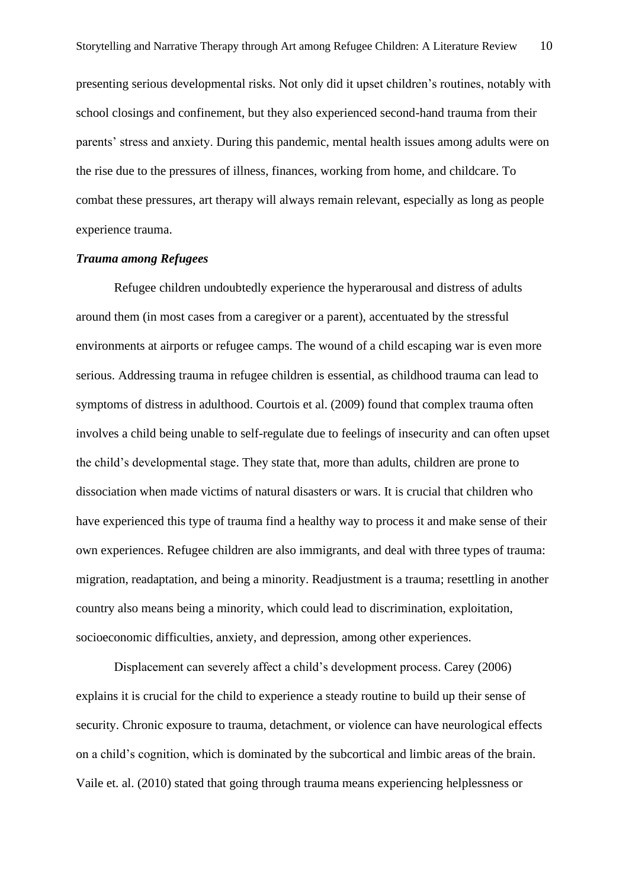presenting serious developmental risks. Not only did it upset children's routines, notably with school closings and confinement, but they also experienced second-hand trauma from their parents' stress and anxiety. During this pandemic, mental health issues among adults were on the rise due to the pressures of illness, finances, working from home, and childcare. To combat these pressures, art therapy will always remain relevant, especially as long as people experience trauma.

## *Trauma among Refugees*

Refugee children undoubtedly experience the hyperarousal and distress of adults around them (in most cases from a caregiver or a parent), accentuated by the stressful environments at airports or refugee camps. The wound of a child escaping war is even more serious. Addressing trauma in refugee children is essential, as childhood trauma can lead to symptoms of distress in adulthood. Courtois et al. (2009) found that complex trauma often involves a child being unable to self-regulate due to feelings of insecurity and can often upset the child's developmental stage. They state that, more than adults, children are prone to dissociation when made victims of natural disasters or wars. It is crucial that children who have experienced this type of trauma find a healthy way to process it and make sense of their own experiences. Refugee children are also immigrants, and deal with three types of trauma: migration, readaptation, and being a minority. Readjustment is a trauma; resettling in another country also means being a minority, which could lead to discrimination, exploitation, socioeconomic difficulties, anxiety, and depression, among other experiences.

Displacement can severely affect a child's development process. Carey (2006) explains it is crucial for the child to experience a steady routine to build up their sense of security. Chronic exposure to trauma, detachment, or violence can have neurological effects on a child's cognition, which is dominated by the subcortical and limbic areas of the brain. Vaile et. al. (2010) stated that going through trauma means experiencing helplessness or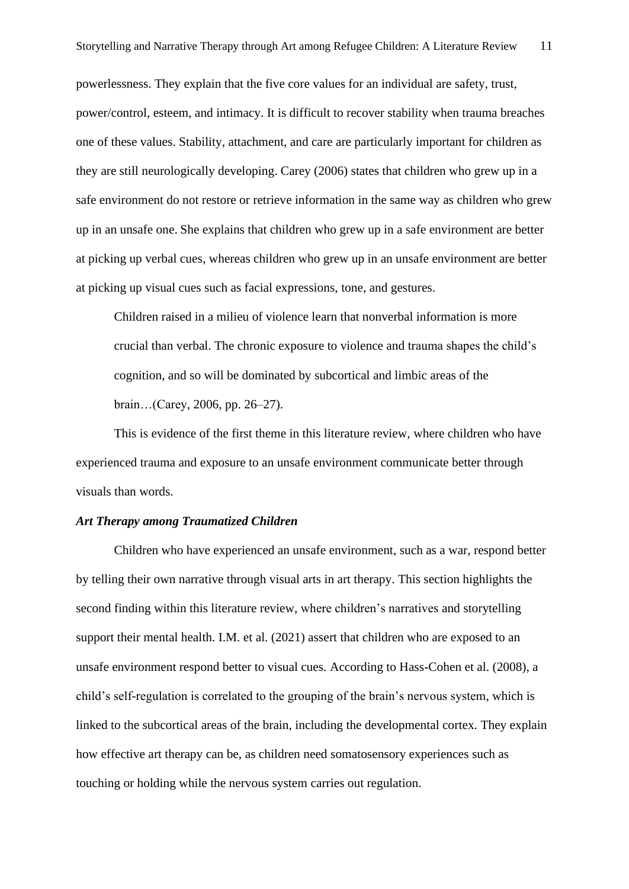powerlessness. They explain that the five core values for an individual are safety, trust, power/control, esteem, and intimacy. It is difficult to recover stability when trauma breaches one of these values. Stability, attachment, and care are particularly important for children as they are still neurologically developing. Carey (2006) states that children who grew up in a safe environment do not restore or retrieve information in the same way as children who grew up in an unsafe one. She explains that children who grew up in a safe environment are better at picking up verbal cues, whereas children who grew up in an unsafe environment are better at picking up visual cues such as facial expressions, tone, and gestures.

Children raised in a milieu of violence learn that nonverbal information is more crucial than verbal. The chronic exposure to violence and trauma shapes the child's cognition, and so will be dominated by subcortical and limbic areas of the brain…(Carey, 2006, pp. 26–27).

This is evidence of the first theme in this literature review, where children who have experienced trauma and exposure to an unsafe environment communicate better through visuals than words.

# *Art Therapy among Traumatized Children*

Children who have experienced an unsafe environment, such as a war, respond better by telling their own narrative through visual arts in art therapy. This section highlights the second finding within this literature review, where children's narratives and storytelling support their mental health. I.M. et al. (2021) assert that children who are exposed to an unsafe environment respond better to visual cues. According to Hass-Cohen et al. (2008), a child's self-regulation is correlated to the grouping of the brain's nervous system, which is linked to the subcortical areas of the brain, including the developmental cortex. They explain how effective art therapy can be, as children need somatosensory experiences such as touching or holding while the nervous system carries out regulation.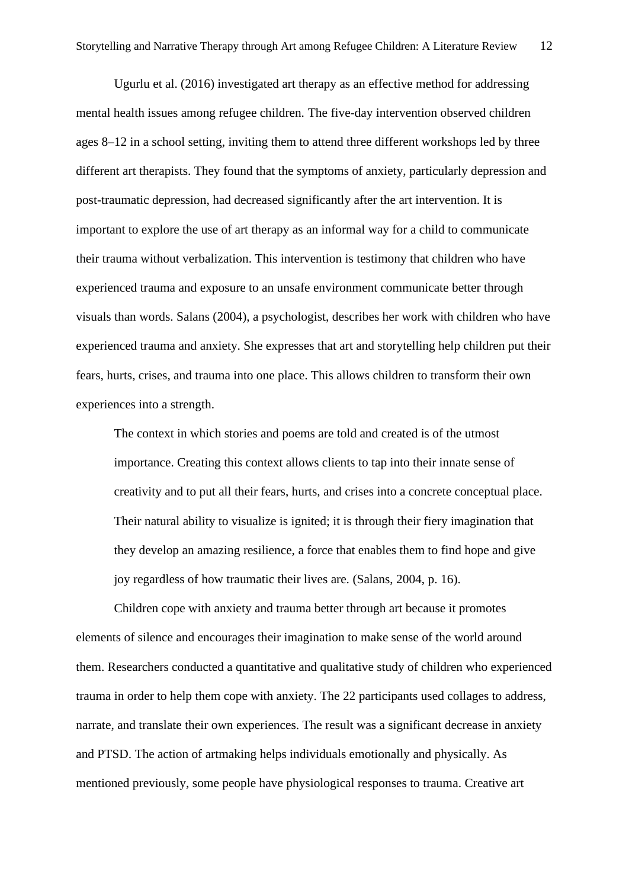Ugurlu et al. (2016) investigated art therapy as an effective method for addressing mental health issues among refugee children. The five-day intervention observed children ages 8–12 in a school setting, inviting them to attend three different workshops led by three different art therapists. They found that the symptoms of anxiety, particularly depression and post-traumatic depression, had decreased significantly after the art intervention. It is important to explore the use of art therapy as an informal way for a child to communicate their trauma without verbalization. This intervention is testimony that children who have experienced trauma and exposure to an unsafe environment communicate better through visuals than words. Salans (2004), a psychologist, describes her work with children who have experienced trauma and anxiety. She expresses that art and storytelling help children put their fears, hurts, crises, and trauma into one place. This allows children to transform their own experiences into a strength.

The context in which stories and poems are told and created is of the utmost importance. Creating this context allows clients to tap into their innate sense of creativity and to put all their fears, hurts, and crises into a concrete conceptual place. Their natural ability to visualize is ignited; it is through their fiery imagination that they develop an amazing resilience, a force that enables them to find hope and give joy regardless of how traumatic their lives are. (Salans, 2004, p. 16).

Children cope with anxiety and trauma better through art because it promotes elements of silence and encourages their imagination to make sense of the world around them. Researchers conducted a quantitative and qualitative study of children who experienced trauma in order to help them cope with anxiety. The 22 participants used collages to address, narrate, and translate their own experiences. The result was a significant decrease in anxiety and PTSD. The action of artmaking helps individuals emotionally and physically. As mentioned previously, some people have physiological responses to trauma. Creative art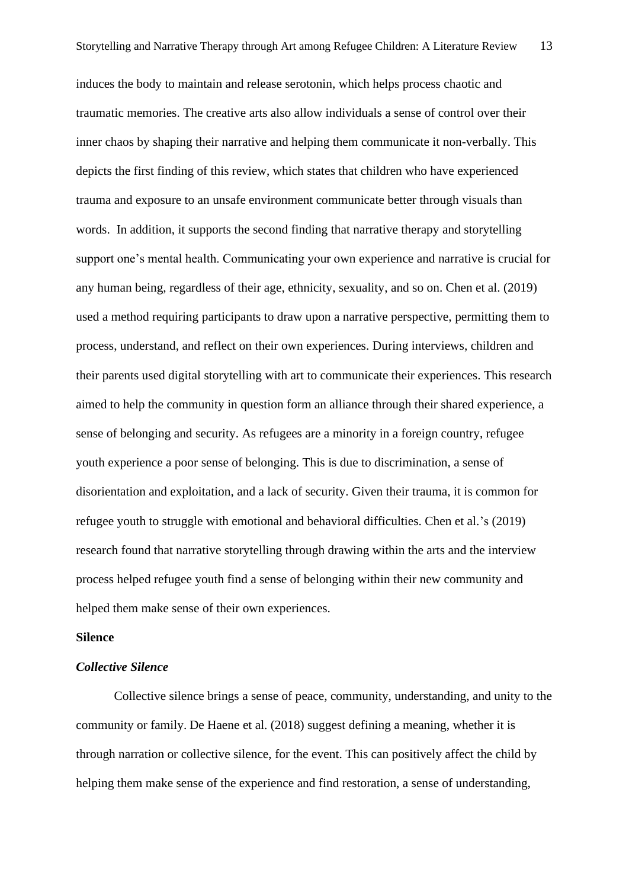induces the body to maintain and release serotonin, which helps process chaotic and traumatic memories. The creative arts also allow individuals a sense of control over their inner chaos by shaping their narrative and helping them communicate it non-verbally. This depicts the first finding of this review, which states that children who have experienced trauma and exposure to an unsafe environment communicate better through visuals than words. In addition, it supports the second finding that narrative therapy and storytelling support one's mental health. Communicating your own experience and narrative is crucial for any human being, regardless of their age, ethnicity, sexuality, and so on. Chen et al. (2019) used a method requiring participants to draw upon a narrative perspective, permitting them to process, understand, and reflect on their own experiences. During interviews, children and their parents used digital storytelling with art to communicate their experiences. This research aimed to help the community in question form an alliance through their shared experience, a sense of belonging and security. As refugees are a minority in a foreign country, refugee youth experience a poor sense of belonging. This is due to discrimination, a sense of disorientation and exploitation, and a lack of security. Given their trauma, it is common for refugee youth to struggle with emotional and behavioral difficulties. Chen et al.'s (2019) research found that narrative storytelling through drawing within the arts and the interview process helped refugee youth find a sense of belonging within their new community and helped them make sense of their own experiences.

#### **Silence**

# *Collective Silence*

Collective silence brings a sense of peace, community, understanding, and unity to the community or family. De Haene et al. (2018) suggest defining a meaning, whether it is through narration or collective silence, for the event. This can positively affect the child by helping them make sense of the experience and find restoration, a sense of understanding,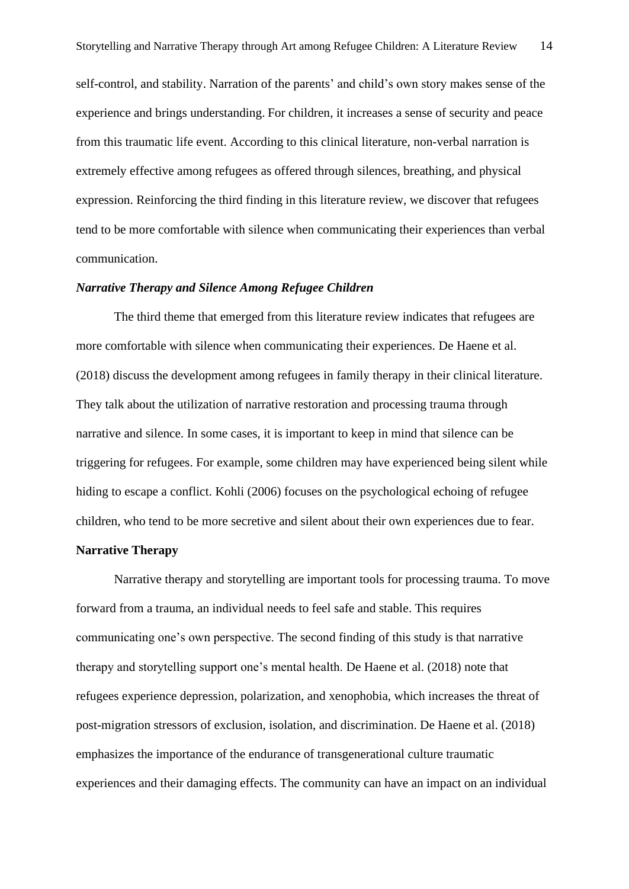self-control, and stability. Narration of the parents' and child's own story makes sense of the experience and brings understanding. For children, it increases a sense of security and peace from this traumatic life event. According to this clinical literature, non-verbal narration is extremely effective among refugees as offered through silences, breathing, and physical expression. Reinforcing the third finding in this literature review, we discover that refugees tend to be more comfortable with silence when communicating their experiences than verbal communication.

# *Narrative Therapy and Silence Among Refugee Children*

The third theme that emerged from this literature review indicates that refugees are more comfortable with silence when communicating their experiences. De Haene et al. (2018) discuss the development among refugees in family therapy in their clinical literature. They talk about the utilization of narrative restoration and processing trauma through narrative and silence. In some cases, it is important to keep in mind that silence can be triggering for refugees. For example, some children may have experienced being silent while hiding to escape a conflict. Kohli (2006) focuses on the psychological echoing of refugee children, who tend to be more secretive and silent about their own experiences due to fear.

## **Narrative Therapy**

Narrative therapy and storytelling are important tools for processing trauma. To move forward from a trauma, an individual needs to feel safe and stable. This requires communicating one's own perspective. The second finding of this study is that narrative therapy and storytelling support one's mental health. De Haene et al. (2018) note that refugees experience depression, polarization, and xenophobia, which increases the threat of post-migration stressors of exclusion, isolation, and discrimination. De Haene et al. (2018) emphasizes the importance of the endurance of transgenerational culture traumatic experiences and their damaging effects. The community can have an impact on an individual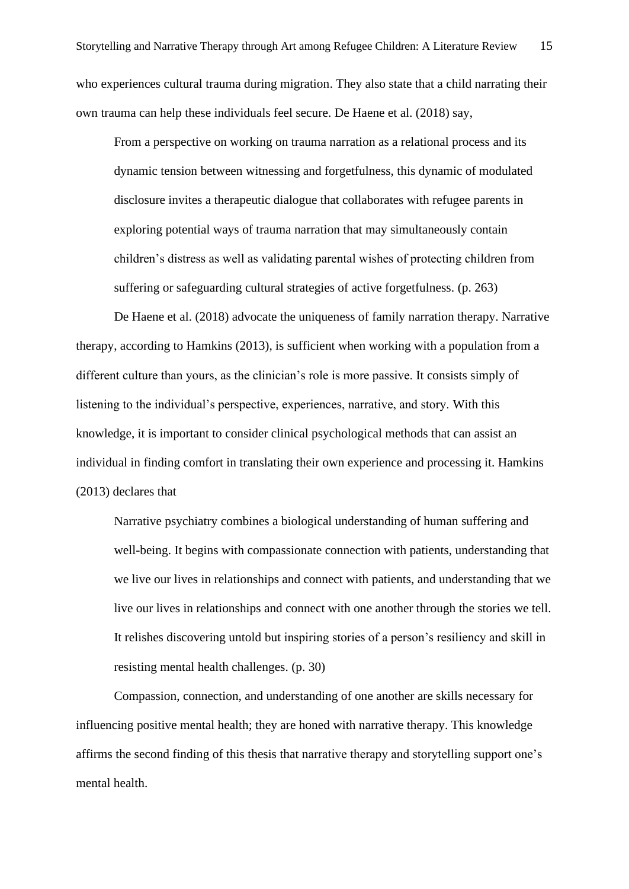who experiences cultural trauma during migration. They also state that a child narrating their own trauma can help these individuals feel secure. De Haene et al. (2018) say,

From a perspective on working on trauma narration as a relational process and its dynamic tension between witnessing and forgetfulness, this dynamic of modulated disclosure invites a therapeutic dialogue that collaborates with refugee parents in exploring potential ways of trauma narration that may simultaneously contain children's distress as well as validating parental wishes of protecting children from suffering or safeguarding cultural strategies of active forgetfulness. (p. 263)

De Haene et al. (2018) advocate the uniqueness of family narration therapy. Narrative therapy, according to Hamkins (2013), is sufficient when working with a population from a different culture than yours, as the clinician's role is more passive. It consists simply of listening to the individual's perspective, experiences, narrative, and story. With this knowledge, it is important to consider clinical psychological methods that can assist an individual in finding comfort in translating their own experience and processing it. Hamkins (2013) declares that

Narrative psychiatry combines a biological understanding of human suffering and well-being. It begins with compassionate connection with patients, understanding that we live our lives in relationships and connect with patients, and understanding that we live our lives in relationships and connect with one another through the stories we tell. It relishes discovering untold but inspiring stories of a person's resiliency and skill in resisting mental health challenges. (p. 30)

Compassion, connection, and understanding of one another are skills necessary for influencing positive mental health; they are honed with narrative therapy. This knowledge affirms the second finding of this thesis that narrative therapy and storytelling support one's mental health.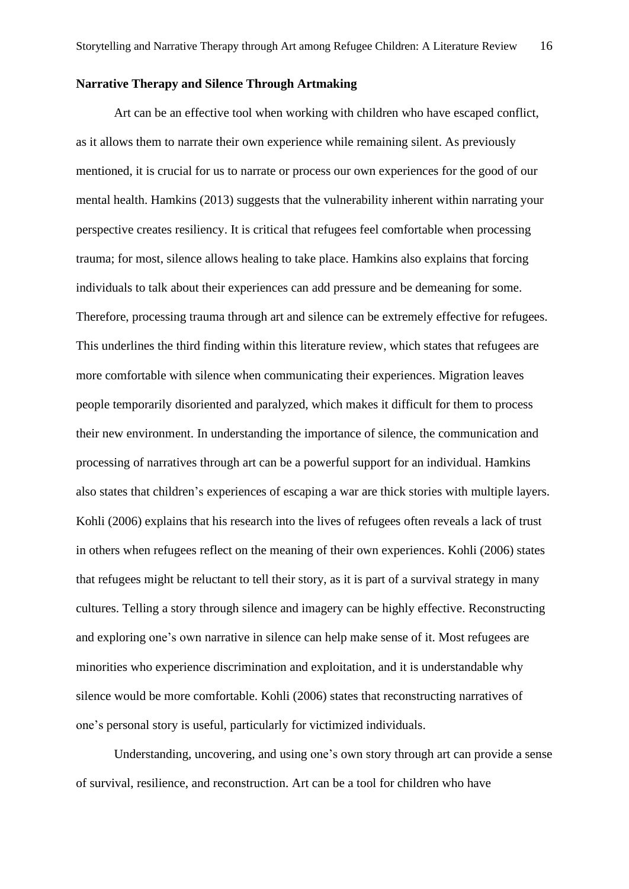#### **Narrative Therapy and Silence Through Artmaking**

Art can be an effective tool when working with children who have escaped conflict, as it allows them to narrate their own experience while remaining silent. As previously mentioned, it is crucial for us to narrate or process our own experiences for the good of our mental health. Hamkins (2013) suggests that the vulnerability inherent within narrating your perspective creates resiliency. It is critical that refugees feel comfortable when processing trauma; for most, silence allows healing to take place. Hamkins also explains that forcing individuals to talk about their experiences can add pressure and be demeaning for some. Therefore, processing trauma through art and silence can be extremely effective for refugees. This underlines the third finding within this literature review, which states that refugees are more comfortable with silence when communicating their experiences. Migration leaves people temporarily disoriented and paralyzed, which makes it difficult for them to process their new environment. In understanding the importance of silence, the communication and processing of narratives through art can be a powerful support for an individual. Hamkins also states that children's experiences of escaping a war are thick stories with multiple layers. Kohli (2006) explains that his research into the lives of refugees often reveals a lack of trust in others when refugees reflect on the meaning of their own experiences. Kohli (2006) states that refugees might be reluctant to tell their story, as it is part of a survival strategy in many cultures. Telling a story through silence and imagery can be highly effective. Reconstructing and exploring one's own narrative in silence can help make sense of it. Most refugees are minorities who experience discrimination and exploitation, and it is understandable why silence would be more comfortable. Kohli (2006) states that reconstructing narratives of one's personal story is useful, particularly for victimized individuals.

Understanding, uncovering, and using one's own story through art can provide a sense of survival, resilience, and reconstruction. Art can be a tool for children who have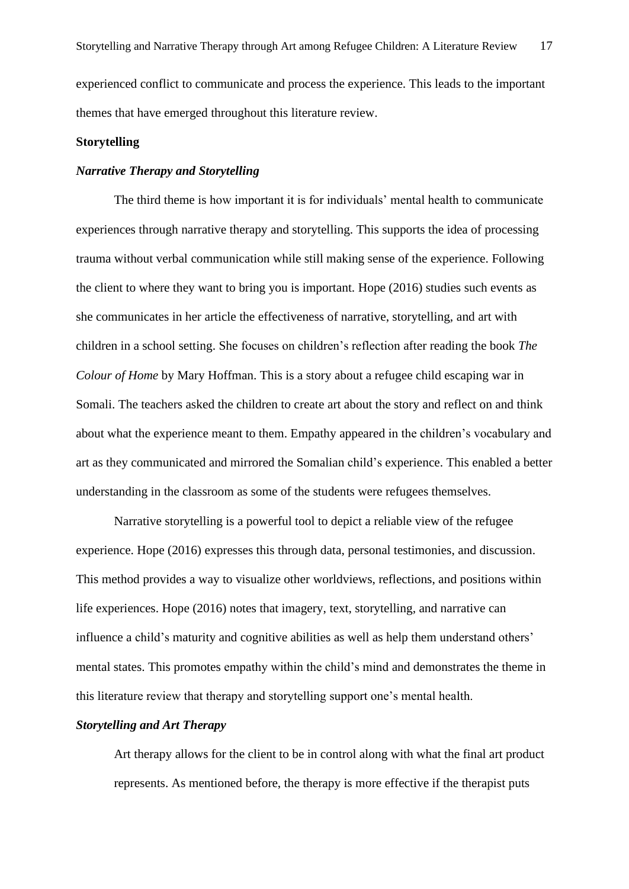experienced conflict to communicate and process the experience. This leads to the important themes that have emerged throughout this literature review.

#### **Storytelling**

# *Narrative Therapy and Storytelling*

The third theme is how important it is for individuals' mental health to communicate experiences through narrative therapy and storytelling. This supports the idea of processing trauma without verbal communication while still making sense of the experience. Following the client to where they want to bring you is important. Hope (2016) studies such events as she communicates in her article the effectiveness of narrative, storytelling, and art with children in a school setting. She focuses on children's reflection after reading the book *The Colour of Home* by Mary Hoffman. This is a story about a refugee child escaping war in Somali. The teachers asked the children to create art about the story and reflect on and think about what the experience meant to them. Empathy appeared in the children's vocabulary and art as they communicated and mirrored the Somalian child's experience. This enabled a better understanding in the classroom as some of the students were refugees themselves.

Narrative storytelling is a powerful tool to depict a reliable view of the refugee experience. Hope (2016) expresses this through data, personal testimonies, and discussion. This method provides a way to visualize other worldviews, reflections, and positions within life experiences. Hope (2016) notes that imagery, text, storytelling, and narrative can influence a child's maturity and cognitive abilities as well as help them understand others' mental states. This promotes empathy within the child's mind and demonstrates the theme in this literature review that therapy and storytelling support one's mental health.

## *Storytelling and Art Therapy*

Art therapy allows for the client to be in control along with what the final art product represents. As mentioned before, the therapy is more effective if the therapist puts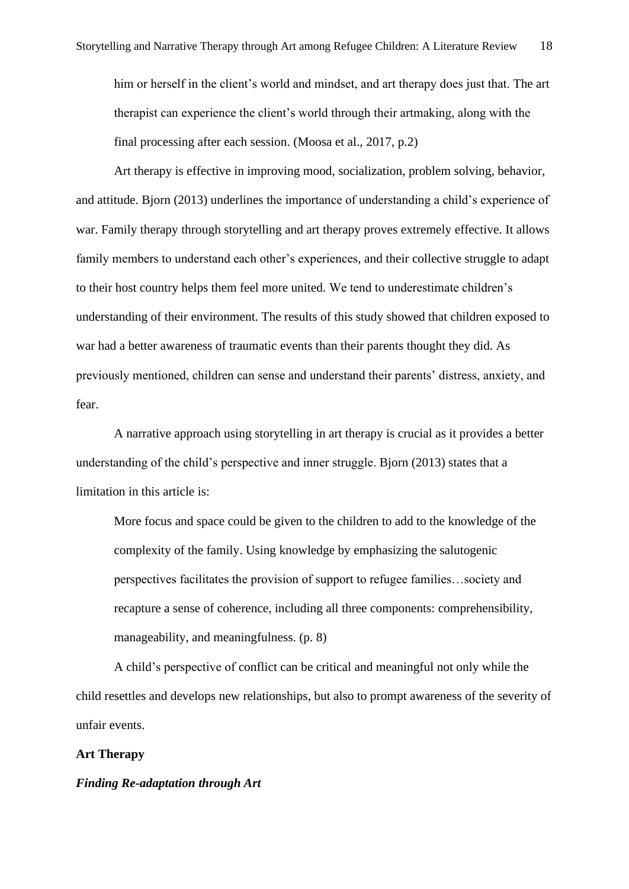him or herself in the client's world and mindset, and art therapy does just that. The art therapist can experience the client's world through their artmaking, along with the final processing after each session. (Moosa et al., 2017, p.2)

Art therapy is effective in improving mood, socialization, problem solving, behavior, and attitude. Bjorn (2013) underlines the importance of understanding a child's experience of war. Family therapy through storytelling and art therapy proves extremely effective. It allows family members to understand each other's experiences, and their collective struggle to adapt to their host country helps them feel more united. We tend to underestimate children's understanding of their environment. The results of this study showed that children exposed to war had a better awareness of traumatic events than their parents thought they did. As previously mentioned, children can sense and understand their parents' distress, anxiety, and fear.

A narrative approach using storytelling in art therapy is crucial as it provides a better understanding of the child's perspective and inner struggle. Bjorn (2013) states that a limitation in this article is:

More focus and space could be given to the children to add to the knowledge of the complexity of the family. Using knowledge by emphasizing the salutogenic perspectives facilitates the provision of support to refugee families…society and recapture a sense of coherence, including all three components: comprehensibility, manageability, and meaningfulness. (p. 8)

A child's perspective of conflict can be critical and meaningful not only while the child resettles and develops new relationships, but also to prompt awareness of the severity of unfair events.

# **Art Therapy**

# *Finding Re-adaptation through Art*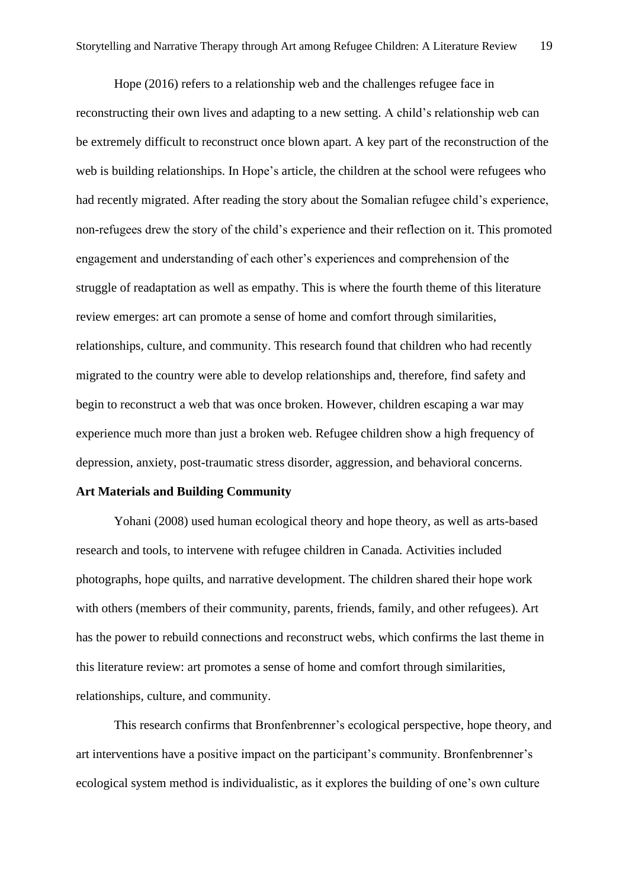Hope (2016) refers to a relationship web and the challenges refugee face in reconstructing their own lives and adapting to a new setting. A child's relationship web can be extremely difficult to reconstruct once blown apart. A key part of the reconstruction of the web is building relationships. In Hope's article, the children at the school were refugees who had recently migrated. After reading the story about the Somalian refugee child's experience, non-refugees drew the story of the child's experience and their reflection on it. This promoted engagement and understanding of each other's experiences and comprehension of the struggle of readaptation as well as empathy. This is where the fourth theme of this literature review emerges: art can promote a sense of home and comfort through similarities, relationships, culture, and community. This research found that children who had recently migrated to the country were able to develop relationships and, therefore, find safety and begin to reconstruct a web that was once broken. However, children escaping a war may experience much more than just a broken web. Refugee children show a high frequency of depression, anxiety, post-traumatic stress disorder, aggression, and behavioral concerns.

# **Art Materials and Building Community**

Yohani (2008) used human ecological theory and hope theory, as well as arts-based research and tools, to intervene with refugee children in Canada. Activities included photographs, hope quilts, and narrative development. The children shared their hope work with others (members of their community, parents, friends, family, and other refugees). Art has the power to rebuild connections and reconstruct webs, which confirms the last theme in this literature review: art promotes a sense of home and comfort through similarities, relationships, culture, and community.

This research confirms that Bronfenbrenner's ecological perspective, hope theory, and art interventions have a positive impact on the participant's community. Bronfenbrenner's ecological system method is individualistic, as it explores the building of one's own culture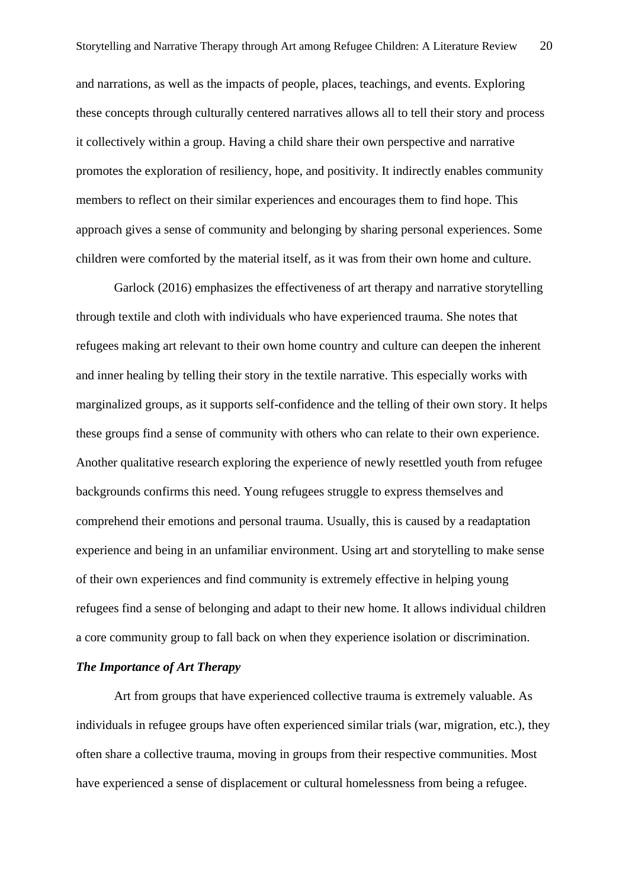and narrations, as well as the impacts of people, places, teachings, and events. Exploring these concepts through culturally centered narratives allows all to tell their story and process it collectively within a group. Having a child share their own perspective and narrative promotes the exploration of resiliency, hope, and positivity. It indirectly enables community members to reflect on their similar experiences and encourages them to find hope. This approach gives a sense of community and belonging by sharing personal experiences. Some children were comforted by the material itself, as it was from their own home and culture.

Garlock (2016) emphasizes the effectiveness of art therapy and narrative storytelling through textile and cloth with individuals who have experienced trauma. She notes that refugees making art relevant to their own home country and culture can deepen the inherent and inner healing by telling their story in the textile narrative. This especially works with marginalized groups, as it supports self-confidence and the telling of their own story. It helps these groups find a sense of community with others who can relate to their own experience. Another qualitative research exploring the experience of newly resettled youth from refugee backgrounds confirms this need. Young refugees struggle to express themselves and comprehend their emotions and personal trauma. Usually, this is caused by a readaptation experience and being in an unfamiliar environment. Using art and storytelling to make sense of their own experiences and find community is extremely effective in helping young refugees find a sense of belonging and adapt to their new home. It allows individual children a core community group to fall back on when they experience isolation or discrimination.

# *The Importance of Art Therapy*

Art from groups that have experienced collective trauma is extremely valuable. As individuals in refugee groups have often experienced similar trials (war, migration, etc.), they often share a collective trauma, moving in groups from their respective communities. Most have experienced a sense of displacement or cultural homelessness from being a refugee.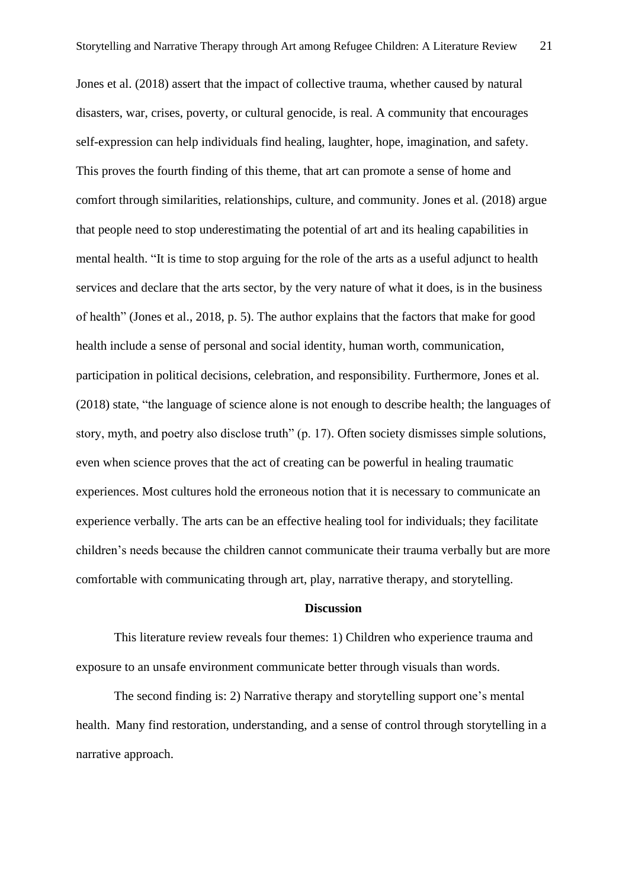Jones et al. (2018) assert that the impact of collective trauma, whether caused by natural disasters, war, crises, poverty, or cultural genocide, is real. A community that encourages self-expression can help individuals find healing, laughter, hope, imagination, and safety. This proves the fourth finding of this theme, that art can promote a sense of home and comfort through similarities, relationships, culture, and community. Jones et al. (2018) argue that people need to stop underestimating the potential of art and its healing capabilities in mental health. "It is time to stop arguing for the role of the arts as a useful adjunct to health services and declare that the arts sector, by the very nature of what it does, is in the business of health" (Jones et al., 2018, p. 5). The author explains that the factors that make for good health include a sense of personal and social identity, human worth, communication, participation in political decisions, celebration, and responsibility. Furthermore, Jones et al. (2018) state, "the language of science alone is not enough to describe health; the languages of story, myth, and poetry also disclose truth" (p. 17). Often society dismisses simple solutions, even when science proves that the act of creating can be powerful in healing traumatic experiences. Most cultures hold the erroneous notion that it is necessary to communicate an experience verbally. The arts can be an effective healing tool for individuals; they facilitate children's needs because the children cannot communicate their trauma verbally but are more comfortable with communicating through art, play, narrative therapy, and storytelling.

# **Discussion**

This literature review reveals four themes: 1) Children who experience trauma and exposure to an unsafe environment communicate better through visuals than words.

The second finding is: 2) Narrative therapy and storytelling support one's mental health. Many find restoration, understanding, and a sense of control through storytelling in a narrative approach.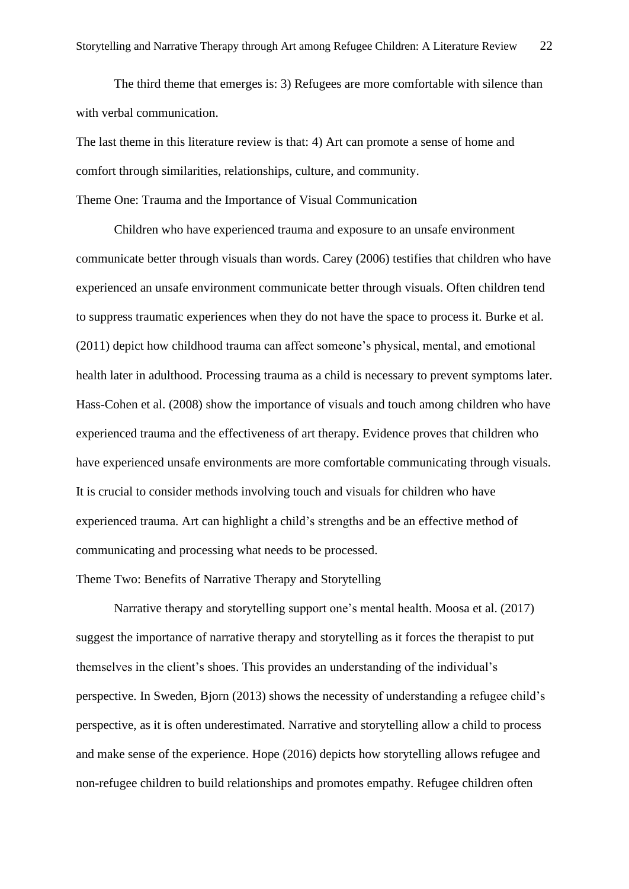The third theme that emerges is: 3) Refugees are more comfortable with silence than with verbal communication.

The last theme in this literature review is that: 4) Art can promote a sense of home and comfort through similarities, relationships, culture, and community.

Theme One: Trauma and the Importance of Visual Communication

Children who have experienced trauma and exposure to an unsafe environment communicate better through visuals than words. Carey (2006) testifies that children who have experienced an unsafe environment communicate better through visuals. Often children tend to suppress traumatic experiences when they do not have the space to process it. Burke et al. (2011) depict how childhood trauma can affect someone's physical, mental, and emotional health later in adulthood. Processing trauma as a child is necessary to prevent symptoms later. Hass-Cohen et al. (2008) show the importance of visuals and touch among children who have experienced trauma and the effectiveness of art therapy. Evidence proves that children who have experienced unsafe environments are more comfortable communicating through visuals. It is crucial to consider methods involving touch and visuals for children who have experienced trauma. Art can highlight a child's strengths and be an effective method of communicating and processing what needs to be processed.

# Theme Two: Benefits of Narrative Therapy and Storytelling

Narrative therapy and storytelling support one's mental health. Moosa et al. (2017) suggest the importance of narrative therapy and storytelling as it forces the therapist to put themselves in the client's shoes. This provides an understanding of the individual's perspective. In Sweden, Bjorn (2013) shows the necessity of understanding a refugee child's perspective, as it is often underestimated. Narrative and storytelling allow a child to process and make sense of the experience. Hope (2016) depicts how storytelling allows refugee and non-refugee children to build relationships and promotes empathy. Refugee children often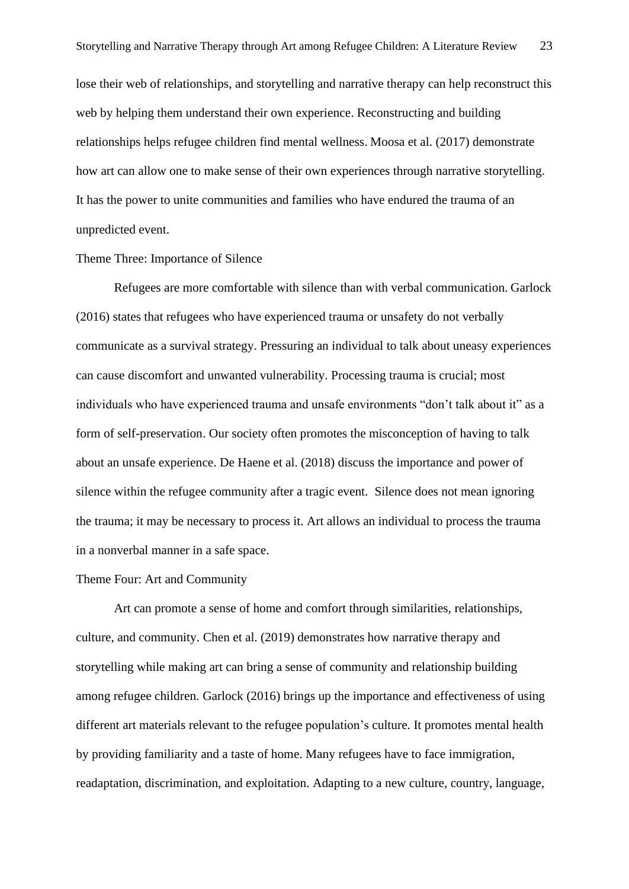lose their web of relationships, and storytelling and narrative therapy can help reconstruct this web by helping them understand their own experience. Reconstructing and building relationships helps refugee children find mental wellness. Moosa et al. (2017) demonstrate how art can allow one to make sense of their own experiences through narrative storytelling. It has the power to unite communities and families who have endured the trauma of an unpredicted event.

## Theme Three: Importance of Silence

Refugees are more comfortable with silence than with verbal communication. Garlock (2016) states that refugees who have experienced trauma or unsafety do not verbally communicate as a survival strategy. Pressuring an individual to talk about uneasy experiences can cause discomfort and unwanted vulnerability. Processing trauma is crucial; most individuals who have experienced trauma and unsafe environments "don't talk about it" as a form of self-preservation. Our society often promotes the misconception of having to talk about an unsafe experience. De Haene et al. (2018) discuss the importance and power of silence within the refugee community after a tragic event. Silence does not mean ignoring the trauma; it may be necessary to process it. Art allows an individual to process the trauma in a nonverbal manner in a safe space.

#### Theme Four: Art and Community

Art can promote a sense of home and comfort through similarities, relationships, culture, and community. Chen et al. (2019) demonstrates how narrative therapy and storytelling while making art can bring a sense of community and relationship building among refugee children. Garlock (2016) brings up the importance and effectiveness of using different art materials relevant to the refugee population's culture. It promotes mental health by providing familiarity and a taste of home. Many refugees have to face immigration, readaptation, discrimination, and exploitation. Adapting to a new culture, country, language,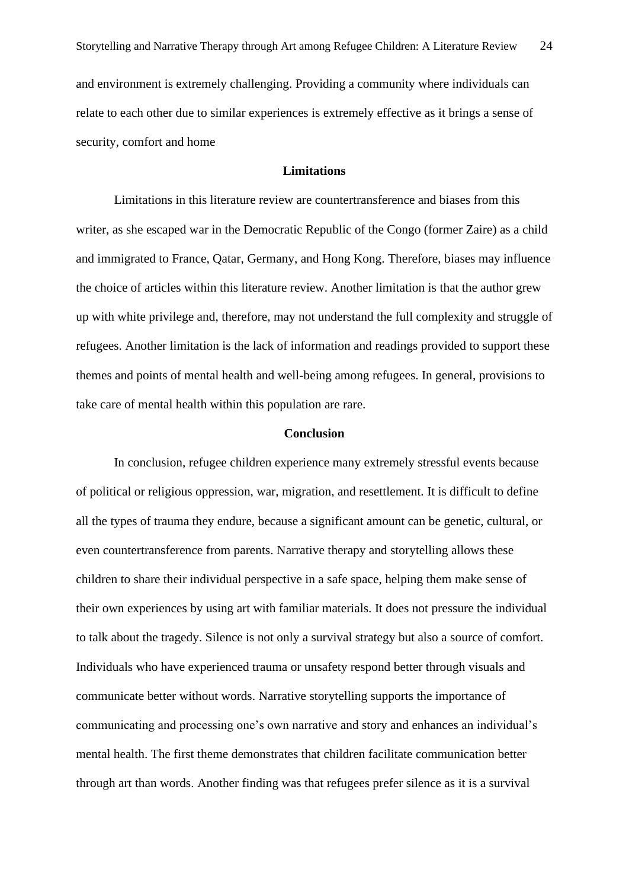and environment is extremely challenging. Providing a community where individuals can relate to each other due to similar experiences is extremely effective as it brings a sense of security, comfort and home

# **Limitations**

Limitations in this literature review are countertransference and biases from this writer, as she escaped war in the Democratic Republic of the Congo (former Zaire) as a child and immigrated to France, Qatar, Germany, and Hong Kong. Therefore, biases may influence the choice of articles within this literature review. Another limitation is that the author grew up with white privilege and, therefore, may not understand the full complexity and struggle of refugees. Another limitation is the lack of information and readings provided to support these themes and points of mental health and well-being among refugees. In general, provisions to take care of mental health within this population are rare.

# **Conclusion**

In conclusion, refugee children experience many extremely stressful events because of political or religious oppression, war, migration, and resettlement. It is difficult to define all the types of trauma they endure, because a significant amount can be genetic, cultural, or even countertransference from parents. Narrative therapy and storytelling allows these children to share their individual perspective in a safe space, helping them make sense of their own experiences by using art with familiar materials. It does not pressure the individual to talk about the tragedy. Silence is not only a survival strategy but also a source of comfort. Individuals who have experienced trauma or unsafety respond better through visuals and communicate better without words. Narrative storytelling supports the importance of communicating and processing one's own narrative and story and enhances an individual's mental health. The first theme demonstrates that children facilitate communication better through art than words. Another finding was that refugees prefer silence as it is a survival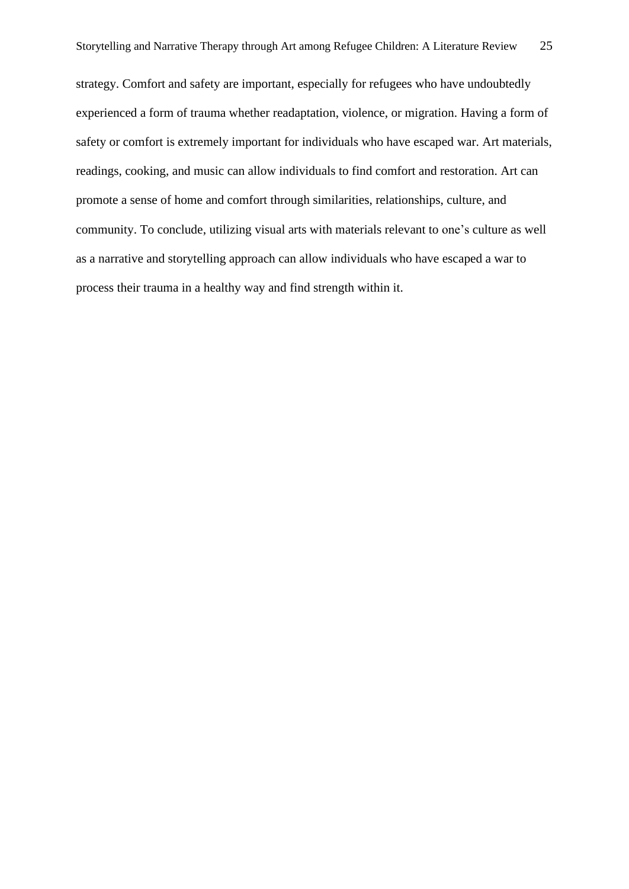strategy. Comfort and safety are important, especially for refugees who have undoubtedly experienced a form of trauma whether readaptation, violence, or migration. Having a form of safety or comfort is extremely important for individuals who have escaped war. Art materials, readings, cooking, and music can allow individuals to find comfort and restoration. Art can promote a sense of home and comfort through similarities, relationships, culture, and community. To conclude, utilizing visual arts with materials relevant to one's culture as well as a narrative and storytelling approach can allow individuals who have escaped a war to process their trauma in a healthy way and find strength within it.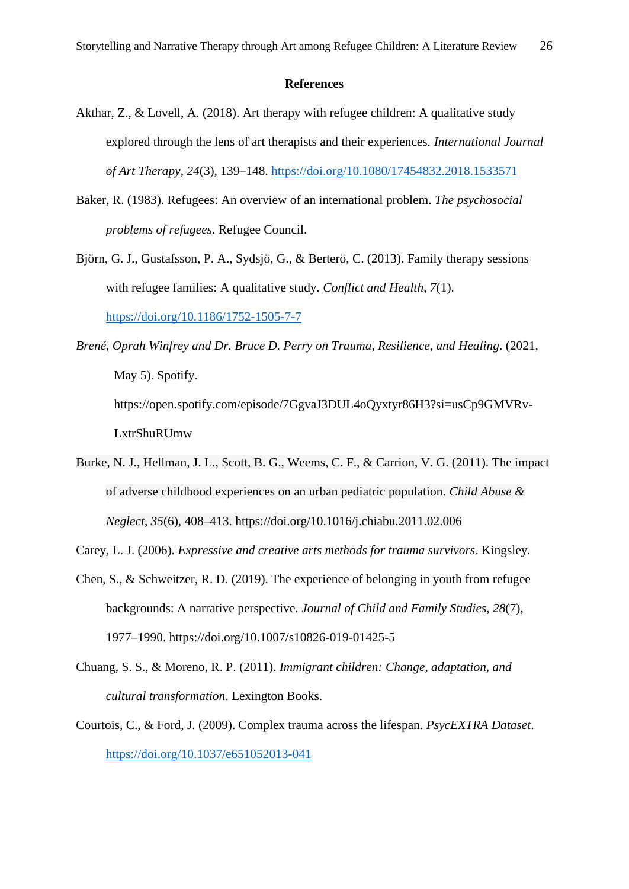#### **References**

- Akthar, Z., & Lovell, A. (2018). Art therapy with refugee children: A qualitative study explored through the lens of art therapists and their experiences. *International Journal of Art Therapy*, *24*(3), 139–148.<https://doi.org/10.1080/17454832.2018.1533571>
- Baker, R. (1983). Refugees: An overview of an international problem. *The psychosocial problems of refugees*. Refugee Council.
- Björn, G. J., Gustafsson, P. A., Sydsjö, G., & Berterö, C. (2013). Family therapy sessions with refugee families: A qualitative study. *Conflict and Health*, *7*(1).

<https://doi.org/10.1186/1752-1505-7-7>

*Brené, Oprah Winfrey and Dr. Bruce D. Perry on Trauma, Resilience, and Healing*. (2021, May 5). Spotify.

https://open.spotify.com/episode/7GgvaJ3DUL4oQyxtyr86H3?si=usCp9GMVRv-LxtrShuRUmw

Burke, N. J., Hellman, J. L., Scott, B. G., Weems, C. F., & Carrion, V. G. (2011). The impact of adverse childhood experiences on an urban pediatric population. *Child Abuse & Neglect*, *35*(6), 408–413. https://doi.org/10.1016/j.chiabu.2011.02.006

Carey, L. J. (2006). *Expressive and creative arts methods for trauma survivors*. Kingsley.

- Chen, S., & Schweitzer, R. D. (2019). The experience of belonging in youth from refugee backgrounds: A narrative perspective. *Journal of Child and Family Studies*, *28*(7), 1977–1990. https://doi.org/10.1007/s10826-019-01425-5
- Chuang, S. S., & Moreno, R. P. (2011). *Immigrant children: Change, adaptation, and cultural transformation*. Lexington Books.
- Courtois, C., & Ford, J. (2009). Complex trauma across the lifespan. *PsycEXTRA Dataset*. <https://doi.org/10.1037/e651052013-041>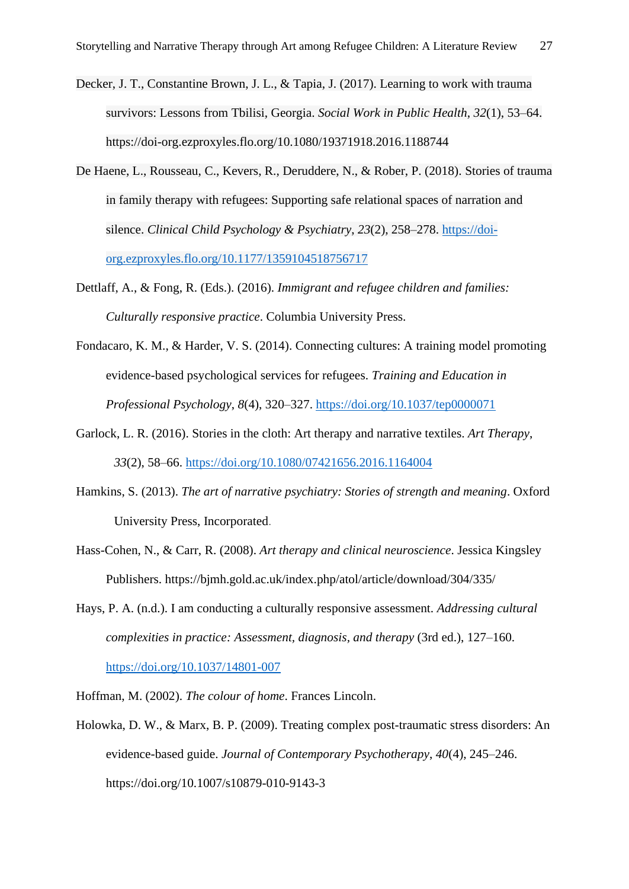- Decker, J. T., Constantine Brown, J. L., & Tapia, J. (2017). Learning to work with trauma survivors: Lessons from Tbilisi, Georgia. *Social Work in Public Health*, *32*(1), 53–64. https://doi-org.ezproxyles.flo.org/10.1080/19371918.2016.1188744
- De Haene, L., Rousseau, C., Kevers, R., Deruddere, N., & Rober, P. (2018). Stories of trauma in family therapy with refugees: Supporting safe relational spaces of narration and silence. *Clinical Child Psychology & Psychiatry*, *23*(2), 258–278. [https://doi](https://doi-org.ezproxyles.flo.org/10.1177/1359104518756717)[org.ezproxyles.flo.org/10.1177/1359104518756717](https://doi-org.ezproxyles.flo.org/10.1177/1359104518756717)
- Dettlaff, A., & Fong, R. (Eds.). (2016). *Immigrant and refugee children and families: Culturally responsive practice*. Columbia University Press.
- Fondacaro, K. M., & Harder, V. S. (2014). Connecting cultures: A training model promoting evidence-based psychological services for refugees. *Training and Education in Professional Psychology*, *8*(4), 320–327.<https://doi.org/10.1037/tep0000071>
- Garlock, L. R. (2016). Stories in the cloth: Art therapy and narrative textiles. *Art Therapy*, *33*(2), 58–66.<https://doi.org/10.1080/07421656.2016.1164004>
- Hamkins, S. (2013). *The art of narrative psychiatry: Stories of strength and meaning*. Oxford University Press, Incorporated.
- Hass-Cohen, N., & Carr, R. (2008). *Art therapy and clinical neuroscience*. Jessica Kingsley Publishers. https://bjmh.gold.ac.uk/index.php/atol/article/download/304/335/
- Hays, P. A. (n.d.). I am conducting a culturally responsive assessment. *Addressing cultural complexities in practice: Assessment, diagnosis, and therapy* (3rd ed.), 127–160. <https://doi.org/10.1037/14801-007>
- Hoffman, M. (2002). *The colour of home*. Frances Lincoln.
- Holowka, D. W., & Marx, B. P. (2009). Treating complex post-traumatic stress disorders: An evidence-based guide. *Journal of Contemporary Psychotherapy*, *40*(4), 245–246. https://doi.org/10.1007/s10879-010-9143-3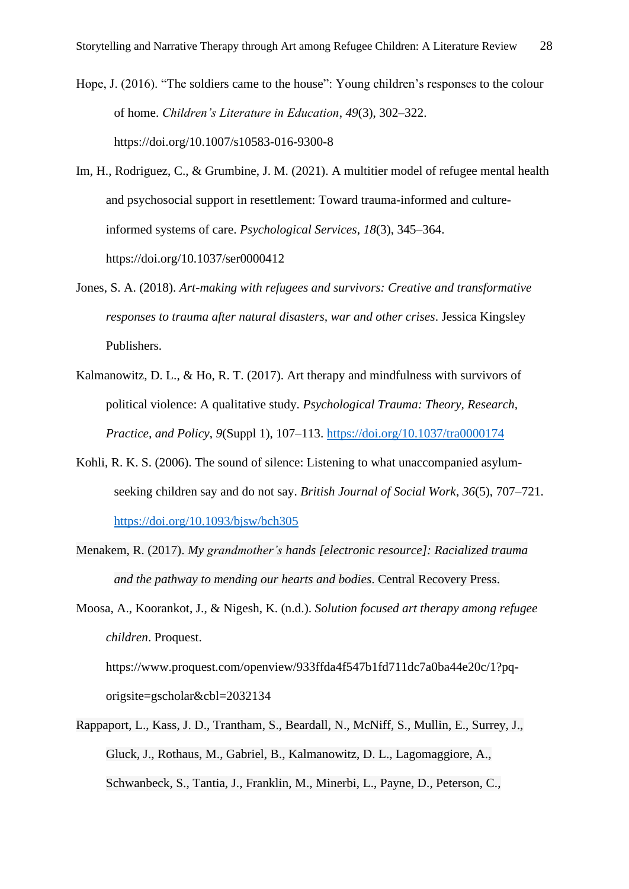- Hope, J. (2016). "The soldiers came to the house": Young children's responses to the colour of home. *Children's Literature in Education*, *49*(3), 302–322. https://doi.org/10.1007/s10583-016-9300-8
- Im, H., Rodriguez, C., & Grumbine, J. M. (2021). A multitier model of refugee mental health and psychosocial support in resettlement: Toward trauma-informed and cultureinformed systems of care. *Psychological Services*, *18*(3), 345–364. https://doi.org/10.1037/ser0000412
- Jones, S. A. (2018). *Art-making with refugees and survivors: Creative and transformative responses to trauma after natural disasters, war and other crises*. Jessica Kingsley Publishers.
- Kalmanowitz, D. L., & Ho, R. T. (2017). Art therapy and mindfulness with survivors of political violence: A qualitative study. *Psychological Trauma: Theory, Research, Practice, and Policy*, *9*(Suppl 1), 107–113.<https://doi.org/10.1037/tra0000174>
- Kohli, R. K. S. (2006). The sound of silence: Listening to what unaccompanied asylumseeking children say and do not say. *British Journal of Social Work*, *36*(5), 707–721. <https://doi.org/10.1093/bjsw/bch305>
- Menakem, R. (2017). *My grandmother's hands [electronic resource]: Racialized trauma and the pathway to mending our hearts and bodies*. Central Recovery Press.
- Moosa, A., Koorankot, J., & Nigesh, K. (n.d.). *Solution focused art therapy among refugee children*. Proquest.

https://www.proquest.com/openview/933ffda4f547b1fd711dc7a0ba44e20c/1?pqorigsite=gscholar&cbl=2032134

Rappaport, L., Kass, J. D., Trantham, S., Beardall, N., McNiff, S., Mullin, E., Surrey, J., Gluck, J., Rothaus, M., Gabriel, B., Kalmanowitz, D. L., Lagomaggiore, A., Schwanbeck, S., Tantia, J., Franklin, M., Minerbi, L., Payne, D., Peterson, C.,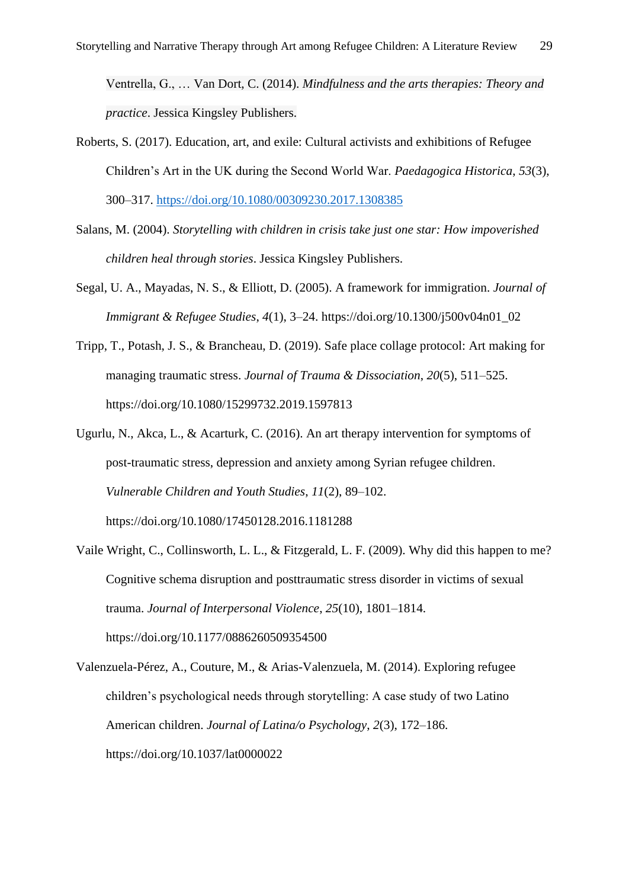Ventrella, G., … Van Dort, C. (2014). *Mindfulness and the arts therapies: Theory and practice*. Jessica Kingsley Publishers.

- Roberts, S. (2017). Education, art, and exile: Cultural activists and exhibitions of Refugee Children's Art in the UK during the Second World War. *Paedagogica Historica*, *53*(3), 300–317.<https://doi.org/10.1080/00309230.2017.1308385>
- Salans, M. (2004). *Storytelling with children in crisis take just one star: How impoverished children heal through stories*. Jessica Kingsley Publishers.
- Segal, U. A., Mayadas, N. S., & Elliott, D. (2005). A framework for immigration. *Journal of Immigrant & Refugee Studies*, *4*(1), 3–24. https://doi.org/10.1300/j500v04n01\_02
- Tripp, T., Potash, J. S., & Brancheau, D. (2019). Safe place collage protocol: Art making for managing traumatic stress. *Journal of Trauma & Dissociation*, *20*(5), 511–525. https://doi.org/10.1080/15299732.2019.1597813
- Ugurlu, N., Akca, L., & Acarturk, C. (2016). An art therapy intervention for symptoms of post-traumatic stress, depression and anxiety among Syrian refugee children. *Vulnerable Children and Youth Studies*, *11*(2), 89–102. https://doi.org/10.1080/17450128.2016.1181288
- Vaile Wright, C., Collinsworth, L. L., & Fitzgerald, L. F. (2009). Why did this happen to me? Cognitive schema disruption and posttraumatic stress disorder in victims of sexual trauma. *Journal of Interpersonal Violence*, *25*(10), 1801–1814. https://doi.org/10.1177/0886260509354500
- Valenzuela-Pérez, A., Couture, M., & Arias-Valenzuela, M. (2014). Exploring refugee children's psychological needs through storytelling: A case study of two Latino American children. *Journal of Latina/o Psychology*, *2*(3), 172–186. https://doi.org/10.1037/lat0000022